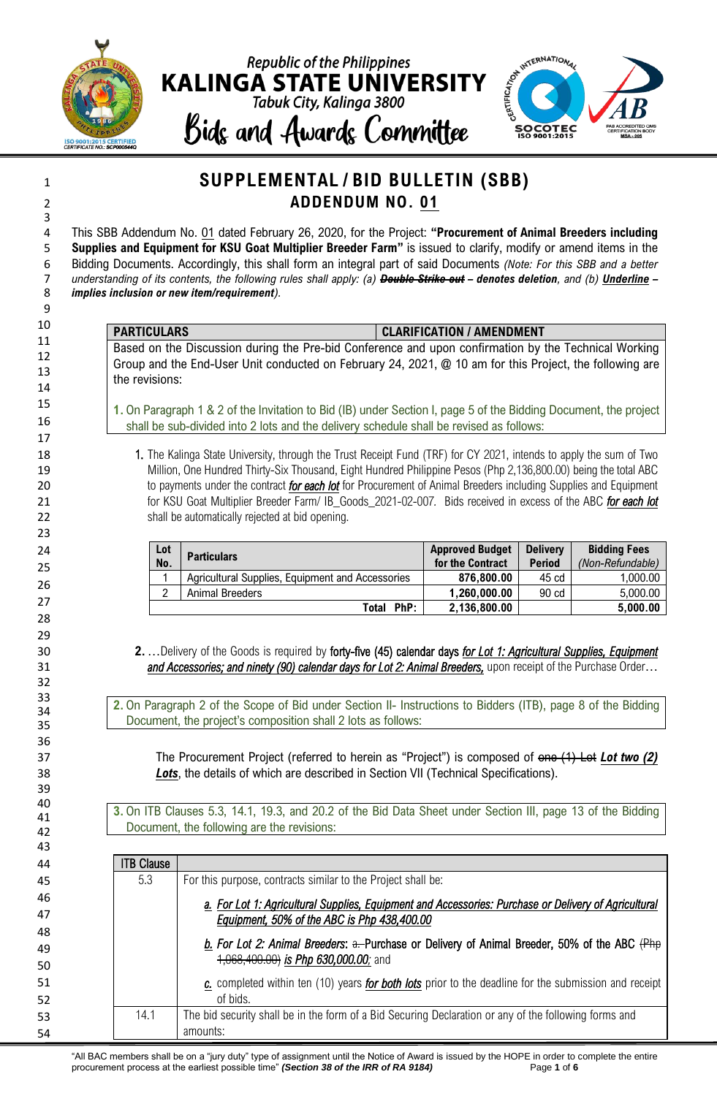



### **SUPPLEMENTAL / BID BULLETIN (SBB) ADDENDUM NO. 01**

 This SBB Addendum No. 01 dated February 26, 2020, for the Project: **"Procurement of Animal Breeders including Supplies and Equipment for KSU Goat Multiplier Breeder Farm"** is issued to clarify, modify or amend items in the Bidding Documents. Accordingly, this shall form an integral part of said Documents *(Note: For this SBB and a better understanding of its contents, the following rules shall apply: (a) Double Strike out – denotes deletion, and (b) Underline – implies inclusion or new item/requirement).*

#### **PARTICULARS CLARIFICATION / AMENDMENT**

Based on the Discussion during the Pre-bid Conference and upon confirmation by the Technical Working Group and the End-User Unit conducted on February 24, 2021, @ 10 am for this Project, the following are the revisions:

**1.** On Paragraph 1 & 2 of the Invitation to Bid (IB) under Section I, page 5 of the Bidding Document, the project shall be sub-divided into 2 lots and the delivery schedule shall be revised as follows:

18 18 1. The Kalinga State University, through the Trust Receipt Fund (TRF) for CY 2021, intends to apply the sum of Two Million, One Hundred Thirty-Six Thousand, Eight Hundred Philippine Pesos (Php 2,136,800.00) being the total ABC to payments under the contract *for each lot* for Procurement of Animal Breeders including Supplies and Equipment for KSU Goat Multiplier Breeder Farm/ IB\_Goods\_2021-02-007*.* Bids received in excess of the ABC *for each lot* 22 shall be automatically rejected at bid opening.

| Lot | <b>Particulars</b>                               | <b>Approved Budget</b> | <b>Delivery</b> | <b>Bidding Fees</b> |
|-----|--------------------------------------------------|------------------------|-----------------|---------------------|
| No. |                                                  | for the Contract       | <b>Period</b>   | (Non-Refundable)    |
|     | Agricultural Supplies, Equipment and Accessories | 876,800.00             | 45 cd           | 1.000.00            |
| າ   | Animal Breeders                                  | 1,260,000.00           | 90 cd           | 5,000.00            |
|     | PhP:<br>Total                                    | 2,136,800.00           |                 | 5,000.00            |

 **2.**…Delivery of the Goods is required by forty-five (45) calendar days *for Lot 1: Agricultural Supplies, Equipment and Accessories; and ninety (90) calendar days for Lot 2: Animal Breeders, upon receipt of the Purchase Order* 

> **2.** On Paragraph 2 of the Scope of Bid under Section II- Instructions to Bidders (ITB), page 8 of the Bidding Document, the project's composition shall 2 lots as follows:

 The Procurement Project (referred to herein as "Project") is composed of one (1) Lot *Lot two (2) Lots*, the details of which are described in Section VII (Technical Specifications).

> **3.** On ITB Clauses 5.3, 14.1, 19.3, and 20.2 of the Bid Data Sheet under Section III, page 13 of the Bidding Document, the following are the revisions:

| 43 |                   |                                                                                                       |
|----|-------------------|-------------------------------------------------------------------------------------------------------|
| 44 | <b>ITB Clause</b> |                                                                                                       |
| 45 | 5.3               | For this purpose, contracts similar to the Project shall be:                                          |
| 46 |                   | a. For Lot 1: Agricultural Supplies, Equipment and Accessories: Purchase or Delivery of Agricultural  |
| 47 |                   | Equipment, 50% of the ABC is Php 438,400.00                                                           |
| 48 |                   |                                                                                                       |
| 49 |                   | b. For Lot 2: Animal Breeders: a. Purchase or Delivery of Animal Breeder, 50% of the ABC (Php         |
| 50 |                   | $+068,400.00$ is Php 630,000.00; and                                                                  |
| 51 |                   | c. completed within ten (10) years for both lots prior to the deadline for the submission and receipt |
| 52 |                   | of bids.                                                                                              |
| 53 | 14.1              | The bid security shall be in the form of a Bid Securing Declaration or any of the following forms and |
| 54 |                   | amounts:                                                                                              |

"All BAC members shall be on a "jury duty" type of assignment until the Notice of Award is issued by the HOPE in order to complete the entire procurement process at the earliest possible time" *(Section 38 of the IRR of RA 9184)* Page **1** of **6**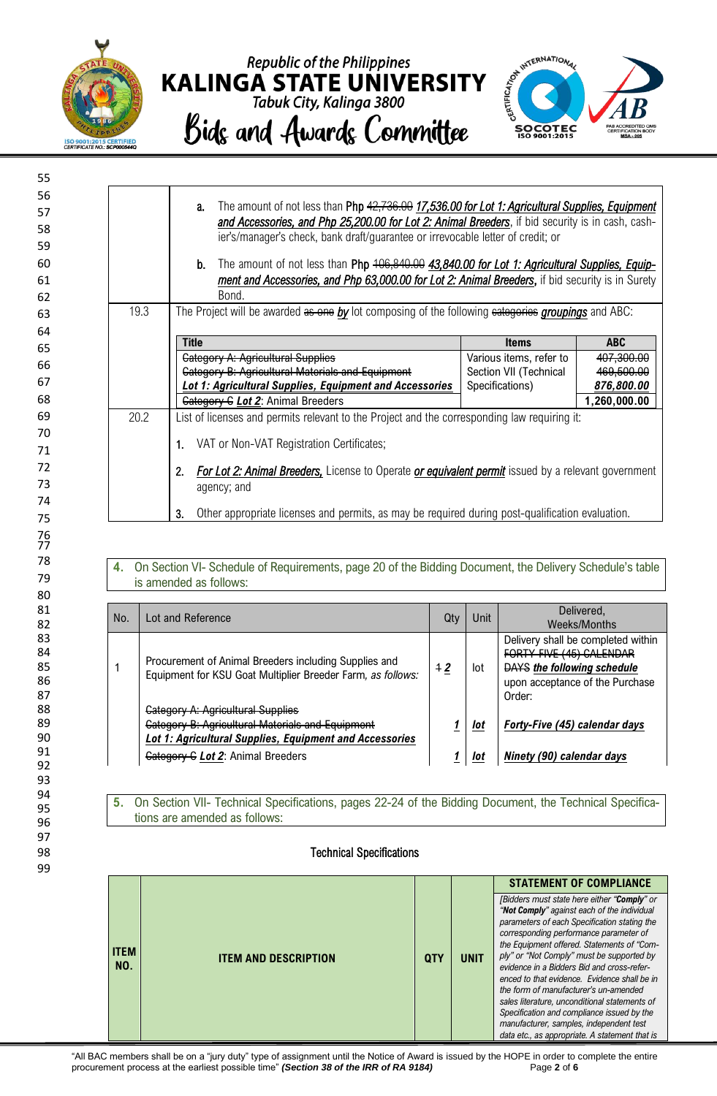

99





|                                                                                                                                                                                                                                                                | The amount of not less than Php 42,736.00 17,536.00 for Lot 1: Agricultural Supplies, Equipment<br>a.<br>and Accessories, and Php 25,200.00 for Lot 2: Animal Breeders, if bid security is in cash, cash-<br>ier's/manager's check, bank draft/guarantee or irrevocable letter of credit; or |                         |              |  |
|----------------------------------------------------------------------------------------------------------------------------------------------------------------------------------------------------------------------------------------------------------------|----------------------------------------------------------------------------------------------------------------------------------------------------------------------------------------------------------------------------------------------------------------------------------------------|-------------------------|--------------|--|
|                                                                                                                                                                                                                                                                | The amount of not less than Php 406,840.00 43,840.00 for Lot 1: Agricultural Supplies, Equip-<br>b.<br>ment and Accessories, and Php 63,000.00 for Lot 2: Animal Breeders, if bid security is in Surety<br>Bond.                                                                             |                         |              |  |
| 19.3                                                                                                                                                                                                                                                           | The Project will be awarded as one by lot composing of the following eatergories groupings and ABC:                                                                                                                                                                                          |                         |              |  |
| <b>Title</b>                                                                                                                                                                                                                                                   |                                                                                                                                                                                                                                                                                              | <b>Items</b>            | <b>ABC</b>   |  |
|                                                                                                                                                                                                                                                                | <b>Category A: Agricultural Supplies</b>                                                                                                                                                                                                                                                     | Various items, refer to | 407,300.00   |  |
|                                                                                                                                                                                                                                                                | <b>Category B: Agricultural Materials and Equipment</b>                                                                                                                                                                                                                                      | Section VII (Technical  | 469,500.00   |  |
|                                                                                                                                                                                                                                                                | Lot 1: Agricultural Supplies, Equipment and Accessories                                                                                                                                                                                                                                      | Specifications)         | 876,800.00   |  |
|                                                                                                                                                                                                                                                                | <b>Category C Lot 2: Animal Breeders</b>                                                                                                                                                                                                                                                     |                         | 1,260,000.00 |  |
| 20.2<br>List of licenses and permits relevant to the Project and the corresponding law requiring it:<br>VAT or Non-VAT Registration Certificates;<br>1.<br>For Lot 2: Animal Breeders, License to Operate or equivalent permit issued by a relevant government |                                                                                                                                                                                                                                                                                              |                         |              |  |
| 2.                                                                                                                                                                                                                                                             |                                                                                                                                                                                                                                                                                              |                         |              |  |

#### **4.** On Section VI- Schedule of Requirements, page 20 of the Bidding Document, the Delivery Schedule's table is amended as follows:

| No. | Lot and Reference                                                                                                                                                                                   | Qtv  | Unit       | Delivered.<br>Weeks/Months                                                                                                                        |
|-----|-----------------------------------------------------------------------------------------------------------------------------------------------------------------------------------------------------|------|------------|---------------------------------------------------------------------------------------------------------------------------------------------------|
|     | Procurement of Animal Breeders including Supplies and<br>Equipment for KSU Goat Multiplier Breeder Farm, as follows:                                                                                | $+2$ | lot        | Delivery shall be completed within<br>FORTY-FIVE (45) CALENDAR<br><b>DAYS</b> the following schedule<br>upon acceptance of the Purchase<br>Order: |
|     | <b>Gategory A: Agricultural Supplies</b><br><b>Category B: Agricultural Materials and Equipment</b><br>Lot 1: Agricultural Supplies, Equipment and Accessories<br>Gategory G Lot 2: Animal Breeders |      | lot<br>lot | Forty-Five (45) calendar days<br>Ninety (90) calendar days                                                                                        |

#### **5.** On Section VII- Technical Specifications, pages 22-24 of the Bidding Document, the Technical Specifications are amended as follows:

#### 98 Technical Specifications

|             |                             |            |             | <b>STATEMENT OF COMPLIANCE</b>                                                             |
|-------------|-----------------------------|------------|-------------|--------------------------------------------------------------------------------------------|
|             |                             |            |             |                                                                                            |
|             |                             |            |             | [Bidders must state here either "Comply" or<br>"Not Comply" against each of the individual |
|             |                             |            |             | parameters of each Specification stating the<br>corresponding performance parameter of     |
|             |                             |            |             | the Equipment offered. Statements of "Com-                                                 |
| <b>ITEM</b> | <b>ITEM AND DESCRIPTION</b> | <b>QTY</b> | <b>UNIT</b> | ply" or "Not Comply" must be supported by                                                  |
| NO.         |                             |            |             | evidence in a Bidders Bid and cross-refer-<br>enced to that evidence. Evidence shall be in |
|             |                             |            |             | the form of manufacturer's un-amended                                                      |
|             |                             |            |             | sales literature, unconditional statements of                                              |
|             |                             |            |             | Specification and compliance issued by the                                                 |
|             |                             |            |             | manufacturer, samples, independent test                                                    |
|             |                             |            |             | data etc., as appropriate. A statement that is                                             |

"All BAC members shall be on a "jury duty" type of assignment until the Notice of Award is issued by the HOPE in order to complete the entire procurement process at the earliest possible time" *(Section 38 of the IRR of RA 9184)* Page **2** of **6**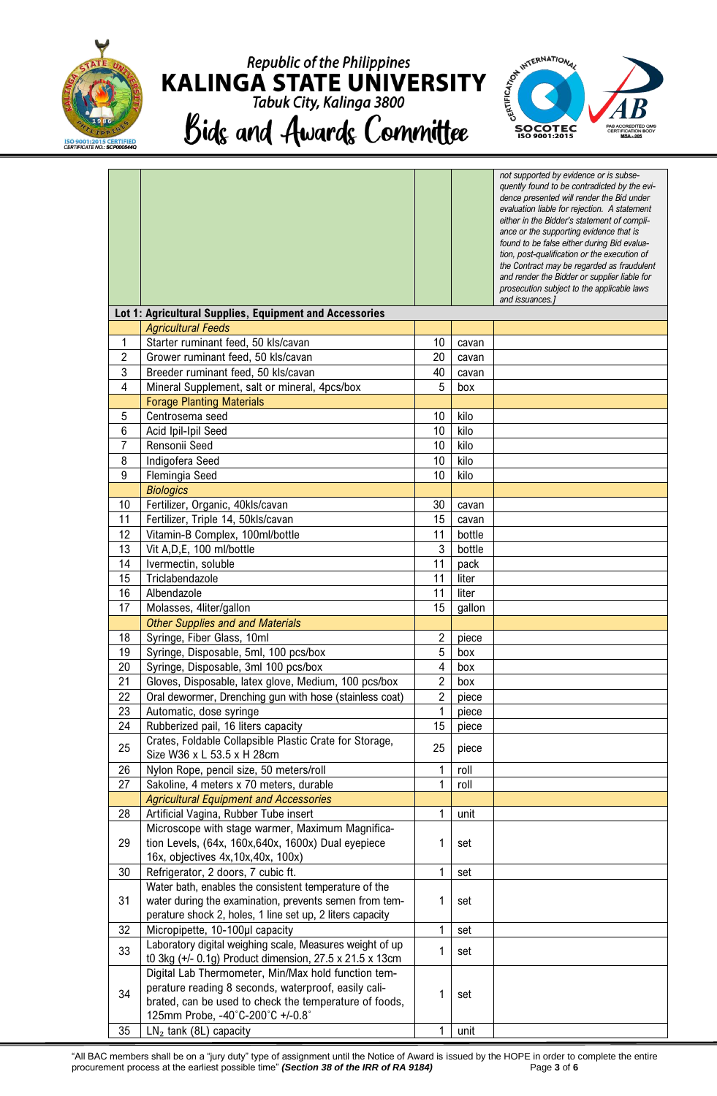

### **Republic of the Philippines KALINGA STATE UNIVERSITY**<br>Tabuk City, Kalinga 3800 Bids and Awards Committee



|    |                                                                                                         |                         |        | not supported by evidence or is subse-<br>quently found to be contradicted by the evi-<br>dence presented will render the Bid under<br>evaluation liable for rejection. A statement<br>either in the Bidder's statement of compli-<br>ance or the supporting evidence that is<br>found to be false either during Bid evalua-<br>tion, post-qualification or the execution of<br>the Contract may be regarded as fraudulent<br>and render the Bidder or supplier liable for<br>prosecution subject to the applicable laws<br>and issuances.] |
|----|---------------------------------------------------------------------------------------------------------|-------------------------|--------|---------------------------------------------------------------------------------------------------------------------------------------------------------------------------------------------------------------------------------------------------------------------------------------------------------------------------------------------------------------------------------------------------------------------------------------------------------------------------------------------------------------------------------------------|
|    | Lot 1: Agricultural Supplies, Equipment and Accessories                                                 |                         |        |                                                                                                                                                                                                                                                                                                                                                                                                                                                                                                                                             |
|    | <b>Agricultural Feeds</b>                                                                               |                         |        |                                                                                                                                                                                                                                                                                                                                                                                                                                                                                                                                             |
| 1  | Starter ruminant feed, 50 kls/cavan                                                                     | 10                      | cavan  |                                                                                                                                                                                                                                                                                                                                                                                                                                                                                                                                             |
| 2  | Grower ruminant feed, 50 kls/cavan                                                                      | 20                      | cavan  |                                                                                                                                                                                                                                                                                                                                                                                                                                                                                                                                             |
| 3  | Breeder ruminant feed, 50 kls/cavan                                                                     | 40                      | cavan  |                                                                                                                                                                                                                                                                                                                                                                                                                                                                                                                                             |
| 4  | Mineral Supplement, salt or mineral, 4pcs/box                                                           | 5                       | box    |                                                                                                                                                                                                                                                                                                                                                                                                                                                                                                                                             |
|    | <b>Forage Planting Materials</b>                                                                        |                         |        |                                                                                                                                                                                                                                                                                                                                                                                                                                                                                                                                             |
| 5  | Centrosema seed                                                                                         | 10                      | kilo   |                                                                                                                                                                                                                                                                                                                                                                                                                                                                                                                                             |
| 6  | Acid Ipil-Ipil Seed                                                                                     | 10                      | kilo   |                                                                                                                                                                                                                                                                                                                                                                                                                                                                                                                                             |
| 7  | Rensonii Seed                                                                                           | 10                      | kilo   |                                                                                                                                                                                                                                                                                                                                                                                                                                                                                                                                             |
| 8  | Indigofera Seed                                                                                         | 10                      | kilo   |                                                                                                                                                                                                                                                                                                                                                                                                                                                                                                                                             |
| 9  | Flemingia Seed                                                                                          | 10                      | kilo   |                                                                                                                                                                                                                                                                                                                                                                                                                                                                                                                                             |
|    | <b>Biologics</b>                                                                                        |                         |        |                                                                                                                                                                                                                                                                                                                                                                                                                                                                                                                                             |
| 10 | Fertilizer, Organic, 40kls/cavan                                                                        | 30                      | cavan  |                                                                                                                                                                                                                                                                                                                                                                                                                                                                                                                                             |
| 11 | Fertilizer, Triple 14, 50kls/cavan                                                                      | 15                      | cavan  |                                                                                                                                                                                                                                                                                                                                                                                                                                                                                                                                             |
| 12 | Vitamin-B Complex, 100ml/bottle                                                                         | 11                      | bottle |                                                                                                                                                                                                                                                                                                                                                                                                                                                                                                                                             |
| 13 | Vit A, D, E, 100 ml/bottle                                                                              | 3                       | bottle |                                                                                                                                                                                                                                                                                                                                                                                                                                                                                                                                             |
| 14 | Ivermectin, soluble                                                                                     | 11                      | pack   |                                                                                                                                                                                                                                                                                                                                                                                                                                                                                                                                             |
| 15 | Triclabendazole                                                                                         | 11                      | liter  |                                                                                                                                                                                                                                                                                                                                                                                                                                                                                                                                             |
| 16 | Albendazole                                                                                             | 11                      | liter  |                                                                                                                                                                                                                                                                                                                                                                                                                                                                                                                                             |
| 17 | Molasses, 4liter/gallon                                                                                 | 15                      | gallon |                                                                                                                                                                                                                                                                                                                                                                                                                                                                                                                                             |
|    | <b>Other Supplies and and Materials</b>                                                                 |                         |        |                                                                                                                                                                                                                                                                                                                                                                                                                                                                                                                                             |
| 18 | Syringe, Fiber Glass, 10ml                                                                              | $\overline{c}$          | piece  |                                                                                                                                                                                                                                                                                                                                                                                                                                                                                                                                             |
| 19 | Syringe, Disposable, 5ml, 100 pcs/box                                                                   | 5                       | box    |                                                                                                                                                                                                                                                                                                                                                                                                                                                                                                                                             |
| 20 | Syringe, Disposable, 3ml 100 pcs/box                                                                    | $\overline{\mathbf{4}}$ | box    |                                                                                                                                                                                                                                                                                                                                                                                                                                                                                                                                             |
| 21 | Gloves, Disposable, latex glove, Medium, 100 pcs/box                                                    | $\overline{2}$          | box    |                                                                                                                                                                                                                                                                                                                                                                                                                                                                                                                                             |
| 22 | Oral dewormer, Drenching gun with hose (stainless coat)                                                 | $\boldsymbol{2}$        | piece  |                                                                                                                                                                                                                                                                                                                                                                                                                                                                                                                                             |
| 23 | Automatic, dose syringe                                                                                 | 1                       | piece  |                                                                                                                                                                                                                                                                                                                                                                                                                                                                                                                                             |
| 24 | Rubberized pail, 16 liters capacity                                                                     | 15                      | piece  |                                                                                                                                                                                                                                                                                                                                                                                                                                                                                                                                             |
| 25 | Crates, Foldable Collapsible Plastic Crate for Storage,                                                 | 25                      | piece  |                                                                                                                                                                                                                                                                                                                                                                                                                                                                                                                                             |
|    | Size W36 x L 53.5 x H 28cm                                                                              |                         |        |                                                                                                                                                                                                                                                                                                                                                                                                                                                                                                                                             |
| 26 | Nylon Rope, pencil size, 50 meters/roll                                                                 | 1                       | roll   |                                                                                                                                                                                                                                                                                                                                                                                                                                                                                                                                             |
| 27 | Sakoline, 4 meters x 70 meters, durable                                                                 | 1                       | roll   |                                                                                                                                                                                                                                                                                                                                                                                                                                                                                                                                             |
|    | <b>Agricultural Equipment and Accessories</b>                                                           |                         |        |                                                                                                                                                                                                                                                                                                                                                                                                                                                                                                                                             |
| 28 | Artificial Vagina, Rubber Tube insert                                                                   | 1                       | unit   |                                                                                                                                                                                                                                                                                                                                                                                                                                                                                                                                             |
| 29 | Microscope with stage warmer, Maximum Magnifica-<br>tion Levels, (64x, 160x, 640x, 1600x) Dual eyepiece | 1                       | set    |                                                                                                                                                                                                                                                                                                                                                                                                                                                                                                                                             |
|    | 16x, objectives 4x, 10x, 40x, 100x)                                                                     |                         |        |                                                                                                                                                                                                                                                                                                                                                                                                                                                                                                                                             |
| 30 | Refrigerator, 2 doors, 7 cubic ft.                                                                      | $\mathbf{1}$            | set    |                                                                                                                                                                                                                                                                                                                                                                                                                                                                                                                                             |
|    | Water bath, enables the consistent temperature of the                                                   |                         |        |                                                                                                                                                                                                                                                                                                                                                                                                                                                                                                                                             |
| 31 | water during the examination, prevents semen from tem-                                                  | 1                       | set    |                                                                                                                                                                                                                                                                                                                                                                                                                                                                                                                                             |
|    | perature shock 2, holes, 1 line set up, 2 liters capacity                                               |                         |        |                                                                                                                                                                                                                                                                                                                                                                                                                                                                                                                                             |
| 32 | Micropipette, 10-100µl capacity                                                                         | $\mathbf{1}$            | set    |                                                                                                                                                                                                                                                                                                                                                                                                                                                                                                                                             |
| 33 | Laboratory digital weighing scale, Measures weight of up                                                | 1                       | set    |                                                                                                                                                                                                                                                                                                                                                                                                                                                                                                                                             |
|    | t0 3kg (+/- 0.1g) Product dimension, 27.5 x 21.5 x 13cm                                                 |                         |        |                                                                                                                                                                                                                                                                                                                                                                                                                                                                                                                                             |
|    | Digital Lab Thermometer, Min/Max hold function tem-                                                     |                         |        |                                                                                                                                                                                                                                                                                                                                                                                                                                                                                                                                             |
| 34 | perature reading 8 seconds, waterproof, easily cali-                                                    | 1                       | set    |                                                                                                                                                                                                                                                                                                                                                                                                                                                                                                                                             |
|    | brated, can be used to check the temperature of foods,                                                  |                         |        |                                                                                                                                                                                                                                                                                                                                                                                                                                                                                                                                             |
|    | 125mm Probe, -40°C-200°C +/-0.8°                                                                        |                         |        |                                                                                                                                                                                                                                                                                                                                                                                                                                                                                                                                             |
| 35 | $LN2$ tank (8L) capacity                                                                                | 1                       | unit   |                                                                                                                                                                                                                                                                                                                                                                                                                                                                                                                                             |

"All BAC members shall be on a "jury duty" type of assignment until the Notice of Award is issued by the HOPE in order to complete the entire procurement process at the earliest possible time" *(Section 38 of the IRR of RA 9184)* Page **3** of **6**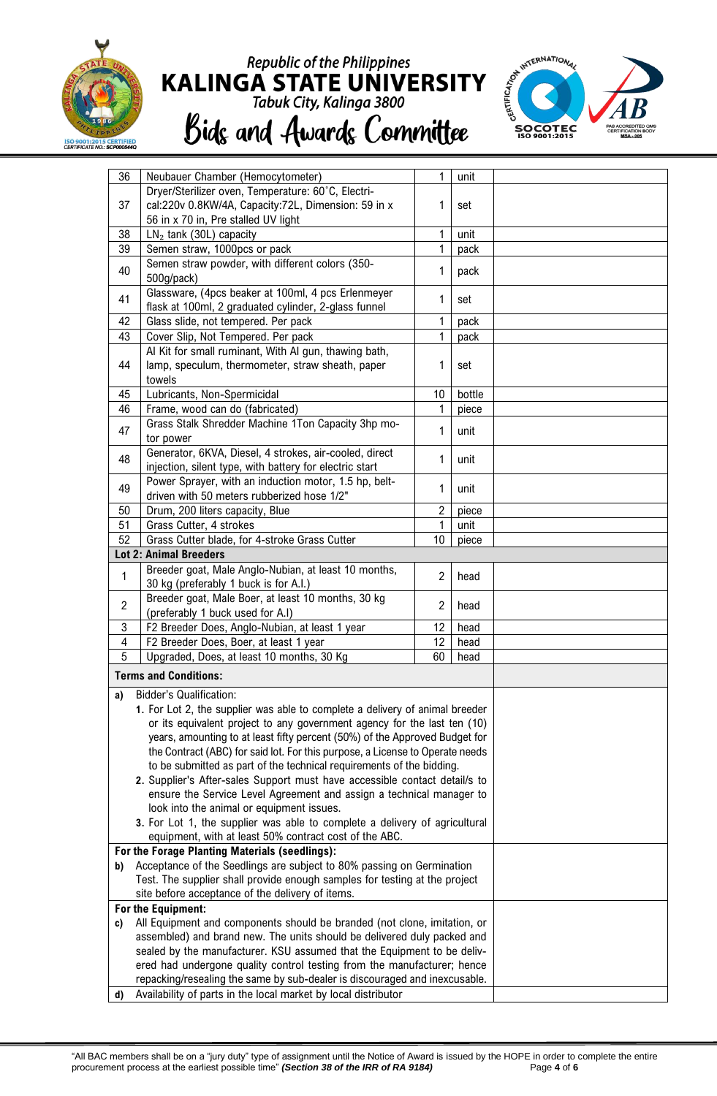

# Republic of the Philippines<br>KALINGA STATE UNIVERSITY<br>Tabuk City, Kalinga 3800 Bids and Awards Committee



| 36             | Neubauer Chamber (Hemocytometer)                                                                                                                       | 1              | unit   |  |  |
|----------------|--------------------------------------------------------------------------------------------------------------------------------------------------------|----------------|--------|--|--|
|                | Dryer/Sterilizer oven, Temperature: 60°C, Electri-                                                                                                     |                |        |  |  |
| 37             | cal:220v 0.8KW/4A, Capacity:72L, Dimension: 59 in x                                                                                                    | 1              | set    |  |  |
|                | 56 in x 70 in, Pre stalled UV light                                                                                                                    |                |        |  |  |
| 38             | $LN2$ tank (30L) capacity                                                                                                                              | 1              | unit   |  |  |
| 39             | Semen straw, 1000pcs or pack                                                                                                                           | 1              | pack   |  |  |
| 40             | Semen straw powder, with different colors (350-                                                                                                        | 1              | pack   |  |  |
|                | 500g/pack)                                                                                                                                             |                |        |  |  |
| 41             | Glassware, (4pcs beaker at 100ml, 4 pcs Erlenmeyer                                                                                                     | 1              | set    |  |  |
|                | flask at 100ml, 2 graduated cylinder, 2-glass funnel                                                                                                   |                |        |  |  |
| 42             | Glass slide, not tempered. Per pack                                                                                                                    | 1              | pack   |  |  |
| 43             | Cover Slip, Not Tempered. Per pack                                                                                                                     | 1              | pack   |  |  |
| 44             | Al Kit for small ruminant, With Al gun, thawing bath,<br>lamp, speculum, thermometer, straw sheath, paper                                              | 1              |        |  |  |
|                | towels                                                                                                                                                 |                | set    |  |  |
| 45             | Lubricants, Non-Spermicidal                                                                                                                            | 10             | bottle |  |  |
| 46             | Frame, wood can do (fabricated)                                                                                                                        | 1              | piece  |  |  |
|                | Grass Stalk Shredder Machine 1Ton Capacity 3hp mo-                                                                                                     |                |        |  |  |
| 47             | tor power                                                                                                                                              | 1              | unit   |  |  |
|                | Generator, 6KVA, Diesel, 4 strokes, air-cooled, direct                                                                                                 |                |        |  |  |
| 48             | injection, silent type, with battery for electric start                                                                                                | 1              | unit   |  |  |
|                | Power Sprayer, with an induction motor, 1.5 hp, belt-                                                                                                  |                |        |  |  |
| 49             | driven with 50 meters rubberized hose 1/2"                                                                                                             | 1              | unit   |  |  |
| 50             | Drum, 200 liters capacity, Blue                                                                                                                        | $\overline{2}$ | piece  |  |  |
| 51             | Grass Cutter, 4 strokes                                                                                                                                | 1<br>10        | unit   |  |  |
| 52             | Grass Cutter blade, for 4-stroke Grass Cutter                                                                                                          | piece          |        |  |  |
|                | <b>Lot 2: Animal Breeders</b>                                                                                                                          |                |        |  |  |
| $\mathbf{1}$   | Breeder goat, Male Anglo-Nubian, at least 10 months,                                                                                                   | $\overline{2}$ | head   |  |  |
|                | 30 kg (preferably 1 buck is for A.I.)                                                                                                                  |                |        |  |  |
| $\overline{2}$ | Breeder goat, Male Boer, at least 10 months, 30 kg                                                                                                     | $\overline{2}$ | head   |  |  |
| $\mathbf{3}$   | (preferably 1 buck used for A.I)<br>F2 Breeder Does, Anglo-Nubian, at least 1 year                                                                     | 12             | head   |  |  |
| 4              | F2 Breeder Does, Boer, at least 1 year                                                                                                                 | 12             | head   |  |  |
| 5              | Upgraded, Does, at least 10 months, 30 Kg                                                                                                              | 60             | head   |  |  |
|                |                                                                                                                                                        |                |        |  |  |
|                | <b>Terms and Conditions:</b>                                                                                                                           |                |        |  |  |
| a)             | <b>Bidder's Qualification:</b>                                                                                                                         |                |        |  |  |
|                | 1. For Lot 2, the supplier was able to complete a delivery of animal breeder                                                                           |                |        |  |  |
|                | or its equivalent project to any government agency for the last ten (10)                                                                               |                |        |  |  |
|                | years, amounting to at least fifty percent (50%) of the Approved Budget for                                                                            |                |        |  |  |
|                | the Contract (ABC) for said lot. For this purpose, a License to Operate needs<br>to be submitted as part of the technical requirements of the bidding. |                |        |  |  |
|                | 2. Supplier's After-sales Support must have accessible contact detail/s to                                                                             |                |        |  |  |
|                | ensure the Service Level Agreement and assign a technical manager to                                                                                   |                |        |  |  |
|                | look into the animal or equipment issues.                                                                                                              |                |        |  |  |
|                | 3. For Lot 1, the supplier was able to complete a delivery of agricultural                                                                             |                |        |  |  |
|                | equipment, with at least 50% contract cost of the ABC.                                                                                                 |                |        |  |  |
|                | For the Forage Planting Materials (seedlings):                                                                                                         |                |        |  |  |
| b)             | Acceptance of the Seedlings are subject to 80% passing on Germination                                                                                  |                |        |  |  |
|                | Test. The supplier shall provide enough samples for testing at the project                                                                             |                |        |  |  |
|                | site before acceptance of the delivery of items.                                                                                                       |                |        |  |  |
|                | For the Equipment:                                                                                                                                     |                |        |  |  |
| c)             | All Equipment and components should be branded (not clone, imitation, or                                                                               |                |        |  |  |
|                | assembled) and brand new. The units should be delivered duly packed and                                                                                |                |        |  |  |
|                | sealed by the manufacturer. KSU assumed that the Equipment to be deliv-<br>ered had undergone quality control testing from the manufacturer; hence     |                |        |  |  |
|                | repacking/resealing the same by sub-dealer is discouraged and inexcusable.                                                                             |                |        |  |  |
|                | Availability of parts in the local market by local distributor<br>d)                                                                                   |                |        |  |  |
|                |                                                                                                                                                        |                |        |  |  |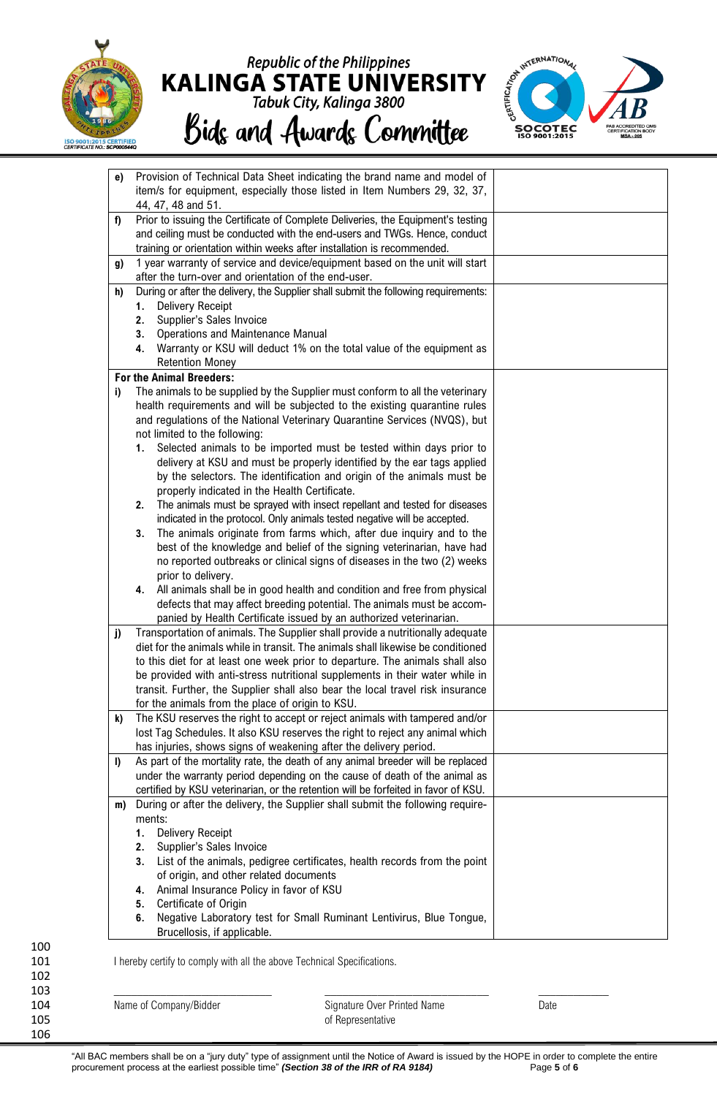

## Republic of the Philippines<br>KALINGA STATE UNIVERSITY<br>Tabuk City, Kalinga 3800 Bids and Awards Committee



| e)       | Provision of Technical Data Sheet indicating the brand name and model of<br>item/s for equipment, especially those listed in Item Numbers 29, 32, 37,                                                                                    |  |
|----------|------------------------------------------------------------------------------------------------------------------------------------------------------------------------------------------------------------------------------------------|--|
|          | 44, 47, 48 and 51.                                                                                                                                                                                                                       |  |
| f)       | Prior to issuing the Certificate of Complete Deliveries, the Equipment's testing<br>and ceiling must be conducted with the end-users and TWGs. Hence, conduct<br>training or orientation within weeks after installation is recommended. |  |
| g)       | 1 year warranty of service and device/equipment based on the unit will start                                                                                                                                                             |  |
|          | after the turn-over and orientation of the end-user.                                                                                                                                                                                     |  |
| h)       | During or after the delivery, the Supplier shall submit the following requirements:                                                                                                                                                      |  |
|          | <b>Delivery Receipt</b><br>1.                                                                                                                                                                                                            |  |
|          | Supplier's Sales Invoice<br>2.<br>Operations and Maintenance Manual                                                                                                                                                                      |  |
|          | 3.<br>Warranty or KSU will deduct 1% on the total value of the equipment as<br>4.                                                                                                                                                        |  |
|          | <b>Retention Money</b>                                                                                                                                                                                                                   |  |
|          | <b>For the Animal Breeders:</b>                                                                                                                                                                                                          |  |
| i)       | The animals to be supplied by the Supplier must conform to all the veterinary                                                                                                                                                            |  |
|          | health requirements and will be subjected to the existing quarantine rules                                                                                                                                                               |  |
|          | and regulations of the National Veterinary Quarantine Services (NVQS), but                                                                                                                                                               |  |
|          | not limited to the following:                                                                                                                                                                                                            |  |
|          | Selected animals to be imported must be tested within days prior to<br>1.<br>delivery at KSU and must be properly identified by the ear tags applied                                                                                     |  |
|          | by the selectors. The identification and origin of the animals must be                                                                                                                                                                   |  |
|          | properly indicated in the Health Certificate.                                                                                                                                                                                            |  |
|          | The animals must be sprayed with insect repellant and tested for diseases<br>2.                                                                                                                                                          |  |
|          | indicated in the protocol. Only animals tested negative will be accepted.                                                                                                                                                                |  |
|          | The animals originate from farms which, after due inquiry and to the<br>3.                                                                                                                                                               |  |
|          | best of the knowledge and belief of the signing veterinarian, have had                                                                                                                                                                   |  |
|          | no reported outbreaks or clinical signs of diseases in the two (2) weeks                                                                                                                                                                 |  |
|          | prior to delivery.<br>All animals shall be in good health and condition and free from physical<br>4.                                                                                                                                     |  |
|          | defects that may affect breeding potential. The animals must be accom-                                                                                                                                                                   |  |
|          | panied by Health Certificate issued by an authorized veterinarian.                                                                                                                                                                       |  |
| j)       | Transportation of animals. The Supplier shall provide a nutritionally adequate                                                                                                                                                           |  |
|          | diet for the animals while in transit. The animals shall likewise be conditioned                                                                                                                                                         |  |
|          | to this diet for at least one week prior to departure. The animals shall also                                                                                                                                                            |  |
|          | be provided with anti-stress nutritional supplements in their water while in                                                                                                                                                             |  |
|          | transit. Further, the Supplier shall also bear the local travel risk insurance<br>for the animals from the place of origin to KSU.                                                                                                       |  |
| k)       | The KSU reserves the right to accept or reject animals with tampered and/or                                                                                                                                                              |  |
|          | lost Tag Schedules. It also KSU reserves the right to reject any animal which                                                                                                                                                            |  |
|          | has injuries, shows signs of weakening after the delivery period.                                                                                                                                                                        |  |
| $\bf{I}$ | As part of the mortality rate, the death of any animal breeder will be replaced                                                                                                                                                          |  |
|          | under the warranty period depending on the cause of death of the animal as                                                                                                                                                               |  |
|          | certified by KSU veterinarian, or the retention will be forfeited in favor of KSU.                                                                                                                                                       |  |
| m)       | During or after the delivery, the Supplier shall submit the following require-                                                                                                                                                           |  |
|          | ments:<br><b>Delivery Receipt</b><br>1.                                                                                                                                                                                                  |  |
|          | Supplier's Sales Invoice<br>2.                                                                                                                                                                                                           |  |
|          | List of the animals, pedigree certificates, health records from the point<br>3.                                                                                                                                                          |  |
|          | of origin, and other related documents                                                                                                                                                                                                   |  |
|          | Animal Insurance Policy in favor of KSU<br>4.                                                                                                                                                                                            |  |
|          | Certificate of Origin<br>5.                                                                                                                                                                                                              |  |
|          | Negative Laboratory test for Small Ruminant Lentivirus, Blue Tongue,<br>6.                                                                                                                                                               |  |
|          | Brucellosis, if applicable.                                                                                                                                                                                                              |  |

100 102 103 \_\_\_\_\_\_\_\_\_\_\_\_\_\_\_\_\_\_\_\_\_\_\_\_\_\_\_ \_\_\_\_\_\_\_\_\_\_\_\_\_\_\_\_\_\_\_\_\_\_\_\_\_\_\_\_ \_\_\_\_\_\_\_\_\_\_\_\_

106

104 Mame of Company/Bidder Signature Over Printed Name Date Date<br>105 of Representative